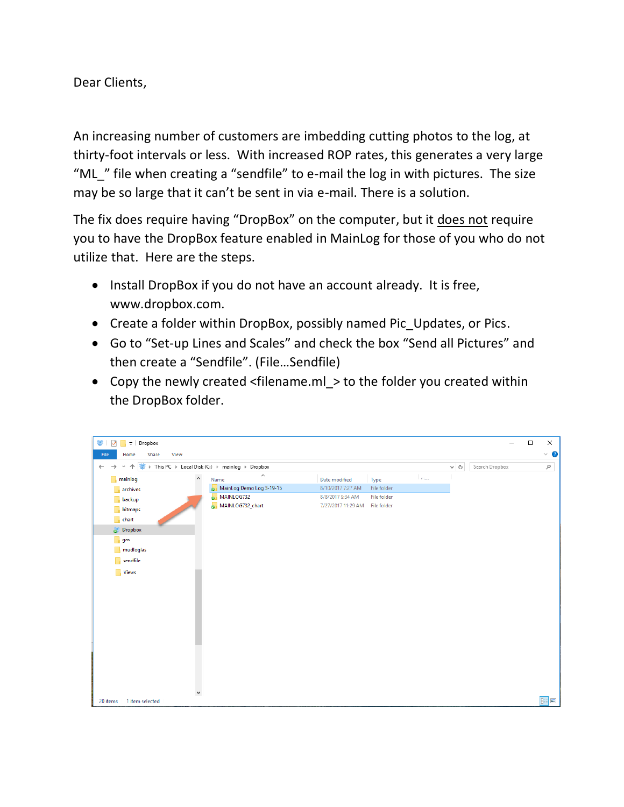Dear Clients,

An increasing number of customers are imbedding cutting photos to the log, at thirty-foot intervals or less. With increased ROP rates, this generates a very large "ML" file when creating a "sendfile" to e-mail the log in with pictures. The size may be so large that it can't be sent in via e-mail. There is a solution.

The fix does require having "DropBox" on the computer, but it does not require you to have the DropBox feature enabled in MainLog for those of you who do not utilize that. Here are the steps.

- Install DropBox if you do not have an account already. It is free, www.dropbox.com.
- Create a folder within DropBox, possibly named Pic Updates, or Pics.
- Go to "Set-up Lines and Scales" and check the box "Send all Pictures" and then create a "Sendfile". (File…Sendfile)
- Copy the newly created <filename.ml > to the folder you created within the DropBox folder.

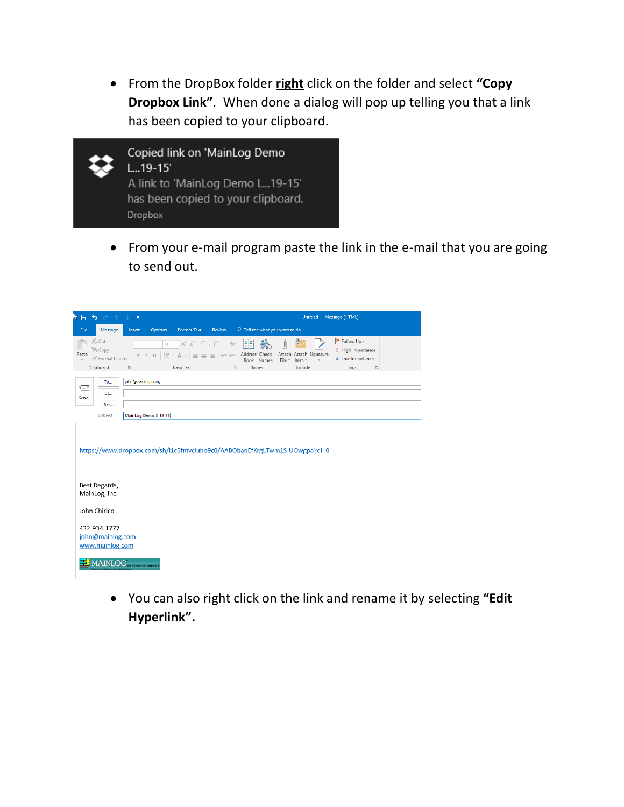• From the DropBox folder **right** click on the folder and select **"Copy Dropbox Link"**. When done a dialog will pop up telling you that a link has been copied to your clipboard.



• From your e-mail program paste the link in the e-mail that you are going to send out.

| 日                          | 5 2 1 5                                             | $\Rightarrow$     |                      |                                                                                                                                                                                                                                                                                                                                                           |                 |                                                                       |             |                                                                           | Untitled - Message (HTML)                                                                       |  |
|----------------------------|-----------------------------------------------------|-------------------|----------------------|-----------------------------------------------------------------------------------------------------------------------------------------------------------------------------------------------------------------------------------------------------------------------------------------------------------------------------------------------------------|-----------------|-----------------------------------------------------------------------|-------------|---------------------------------------------------------------------------|-------------------------------------------------------------------------------------------------|--|
| File                       | Message                                             | Insert            | <b>Options</b>       | <b>Format Text</b>                                                                                                                                                                                                                                                                                                                                        | Review          | $Q$ Tell me what you want to do                                       |             |                                                                           |                                                                                                 |  |
| Paste                      | X Cut<br>lin Copy<br>SF Format Painter<br>Clipboard | $\overline{12}$   | $-14$                | $\begin{array}{c c c c c c c c} \hline \ast & \mathbb{A} & \mathbb{H} & \mathbb{H} & \mathbb{H} & \mathbb{H} & \mathbb{H} \ \hline \ast & \mathbb{H} & \mathbb{H} & \mathbb{H} & \mathbb{H} & \mathbb{H} & \mathbb{H} \ \hline \end{array}$<br><b>B</b> $I$ <b>U</b> $\mathbb{W}$ + A + $\equiv$ $\equiv$ $\equiv$ $\equiv$ $\equiv$<br><b>Basic Text</b> | $\overline{12}$ | 임의<br>$\mathbf{v}_\mathrm{0}$<br>Address Check<br>Book Names<br>Names | U<br>File + | Attach Attach Signature<br>Item -<br>Include                              | Follow Up -<br>High Importance<br>$\bigvee$ Low Importance<br>Tags<br>$\overline{\mathbb{F}_M}$ |  |
| $\overline{\cdot}$<br>Send | To<br>Cc<br>Bcc                                     | john@mainlog.com; |                      |                                                                                                                                                                                                                                                                                                                                                           |                 |                                                                       |             |                                                                           |                                                                                                 |  |
|                            | Subject                                             |                   | MainLog Demo 3-19-15 |                                                                                                                                                                                                                                                                                                                                                           |                 |                                                                       |             |                                                                           |                                                                                                 |  |
|                            | Best Regards,<br>MainLog, Inc.                      |                   |                      |                                                                                                                                                                                                                                                                                                                                                           |                 |                                                                       |             | https://www.dropbox.com/sh/l1c5fmvciuho9c0/AABObanEfKrgLTwm1S-UOwgpa?dl=0 |                                                                                                 |  |
|                            | John Chirico                                        |                   |                      |                                                                                                                                                                                                                                                                                                                                                           |                 |                                                                       |             |                                                                           |                                                                                                 |  |
|                            | 432-934-1772<br>john@mainlog.com<br>www.mainlog.com |                   |                      |                                                                                                                                                                                                                                                                                                                                                           |                 |                                                                       |             |                                                                           |                                                                                                 |  |
|                            | <b>MAINLOG</b> and logging activenes                |                   |                      |                                                                                                                                                                                                                                                                                                                                                           |                 |                                                                       |             |                                                                           |                                                                                                 |  |

• You can also right click on the link and rename it by selecting **"Edit Hyperlink".**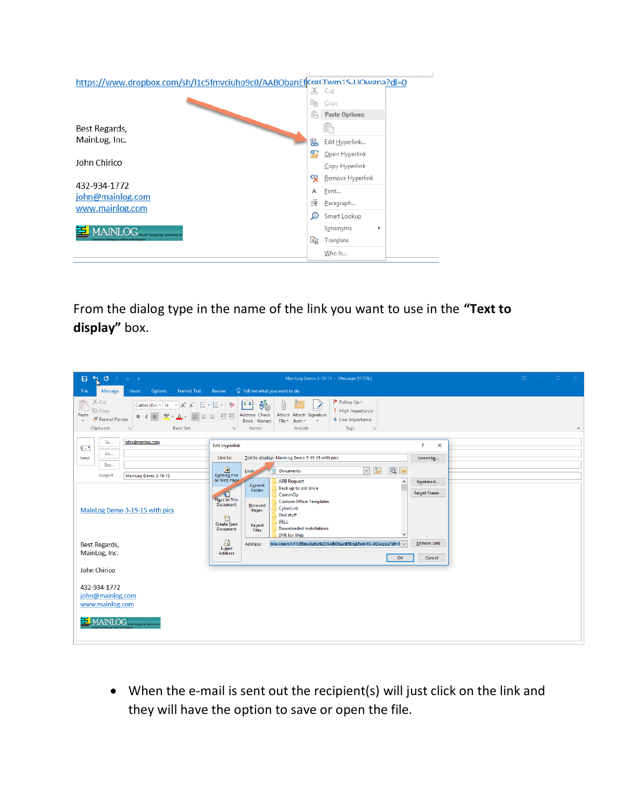| https://www.dropbox.com/sh/l1c5fmvciuho9c0/AABObanEfKrøLTwm1S-LIOwøna?dl=0 |    |                       |  |
|----------------------------------------------------------------------------|----|-----------------------|--|
|                                                                            | X, | Cut                   |  |
|                                                                            | Œ  | Copy                  |  |
|                                                                            | ĥ  | <b>Paste Options:</b> |  |
| Best Regards,                                                              |    |                       |  |
| MainLog, Inc.                                                              | 鵖  | Edit Hyperlink        |  |
|                                                                            | ⊜≏ | Open Hyperlink        |  |
| John Chirico                                                               |    | Copy Hyperlink        |  |
|                                                                            | യു | Remove Hyperlink      |  |
| 432-934-1772                                                               | A  | Font                  |  |
| john@mainlog.com                                                           |    |                       |  |
| www.mainlog.com                                                            | 請  | Paragraph             |  |
|                                                                            | ω  | Smart Lookup          |  |
| <b>MAINLOG</b>                                                             | B) | Synonyms<br>Þ         |  |
|                                                                            |    | Translate             |  |
|                                                                            |    | Who Is                |  |

From the dialog type in the name of the link you want to use in the **"Text to display"** box.



• When the e-mail is sent out the recipient(s) will just click on the link and they will have the option to save or open the file.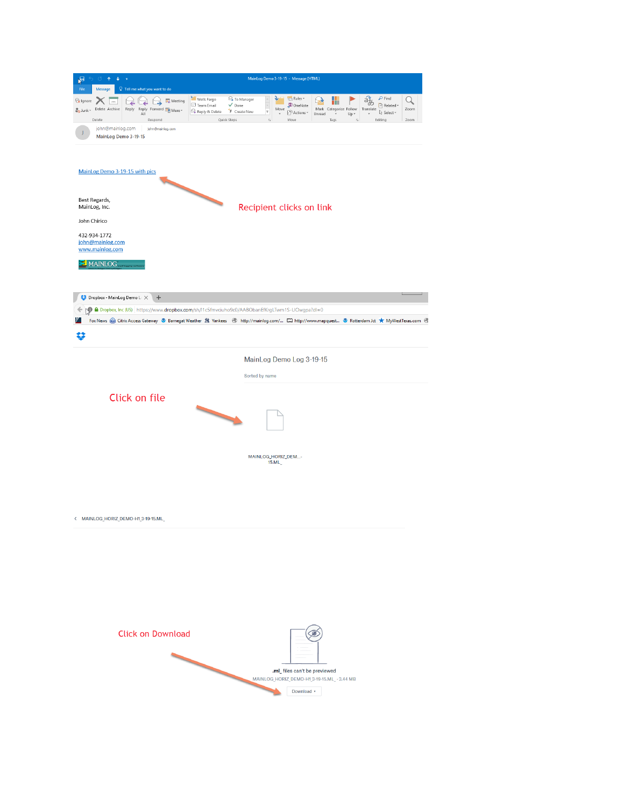| <b>Rules</b> *<br>٩<br>Wells Fargo<br><sup>2</sup> To Manager<br>lgnore<br><b>DE</b> Meeting<br>⊿<br>$\equiv$<br>ш<br>Team Email<br>$\vee$ Done<br><b>D</b> OneNote<br>Delete Archive<br>Move<br>Mark Categorize Follow<br>Reply Reply Forward [9] More<br>o Junk -<br>Reply & Delete<br>F Create New<br>$\overline{\mathbf{v}}$<br><sup>2</sup> Actions *<br>All<br>Unread<br>$\;$<br>Quick Steps<br>Delete<br>Respond<br>$\overline{u}$<br>Move<br>Tags<br>john@mainlog.com<br>john@mainlog.com<br>MainLog Demo 3-19-15<br>MainLog Demo 3-19-15 with pics<br>Best Regards,<br>Recipient clicks on link<br>MainLog, Inc.<br>John Chirico | $\rho$ Find<br>Q<br>荡<br>Related ~<br>Translate<br>Zoom<br>☆ Select *<br>$Up -$<br>Editing<br>$\overline{u}$<br>Zoom |
|-------------------------------------------------------------------------------------------------------------------------------------------------------------------------------------------------------------------------------------------------------------------------------------------------------------------------------------------------------------------------------------------------------------------------------------------------------------------------------------------------------------------------------------------------------------------------------------------------------------------------------------------|----------------------------------------------------------------------------------------------------------------------|
|                                                                                                                                                                                                                                                                                                                                                                                                                                                                                                                                                                                                                                           |                                                                                                                      |
|                                                                                                                                                                                                                                                                                                                                                                                                                                                                                                                                                                                                                                           |                                                                                                                      |
|                                                                                                                                                                                                                                                                                                                                                                                                                                                                                                                                                                                                                                           |                                                                                                                      |
|                                                                                                                                                                                                                                                                                                                                                                                                                                                                                                                                                                                                                                           |                                                                                                                      |
|                                                                                                                                                                                                                                                                                                                                                                                                                                                                                                                                                                                                                                           |                                                                                                                      |
|                                                                                                                                                                                                                                                                                                                                                                                                                                                                                                                                                                                                                                           |                                                                                                                      |
| 432-934-1772<br>john@mainlog.com<br>www.mainlog.com                                                                                                                                                                                                                                                                                                                                                                                                                                                                                                                                                                                       |                                                                                                                      |
| MAINLOG                                                                                                                                                                                                                                                                                                                                                                                                                                                                                                                                                                                                                                   |                                                                                                                      |
| Dropbox - MainLog Demo L X<br>$+$                                                                                                                                                                                                                                                                                                                                                                                                                                                                                                                                                                                                         |                                                                                                                      |
| O A Dropbox, Inc (US) https://www.dropbox.com/sh/l1c5fmvciuho9c0/AABObanEfKrgLTwm1S-UOwgpa?dl=0                                                                                                                                                                                                                                                                                                                                                                                                                                                                                                                                           |                                                                                                                      |
| Fox News ( Citrix Access Gateway S Barnegat Weather $\frac{M}{M}$ Yankees ( http://mainlog.com/ [ 2 http://www.mapquest S Rotterdam Jct ★ MyWestTexas.com ( )                                                                                                                                                                                                                                                                                                                                                                                                                                                                             |                                                                                                                      |
| œ                                                                                                                                                                                                                                                                                                                                                                                                                                                                                                                                                                                                                                         |                                                                                                                      |
| MainLog Demo Log 3-19-15                                                                                                                                                                                                                                                                                                                                                                                                                                                                                                                                                                                                                  |                                                                                                                      |
|                                                                                                                                                                                                                                                                                                                                                                                                                                                                                                                                                                                                                                           |                                                                                                                      |
| Sorted by name                                                                                                                                                                                                                                                                                                                                                                                                                                                                                                                                                                                                                            |                                                                                                                      |
| Click on file                                                                                                                                                                                                                                                                                                                                                                                                                                                                                                                                                                                                                             |                                                                                                                      |
|                                                                                                                                                                                                                                                                                                                                                                                                                                                                                                                                                                                                                                           |                                                                                                                      |
|                                                                                                                                                                                                                                                                                                                                                                                                                                                                                                                                                                                                                                           |                                                                                                                      |
|                                                                                                                                                                                                                                                                                                                                                                                                                                                                                                                                                                                                                                           |                                                                                                                      |
| MAINLOG_HORIZ_DEM-<br>15.ML                                                                                                                                                                                                                                                                                                                                                                                                                                                                                                                                                                                                               |                                                                                                                      |
|                                                                                                                                                                                                                                                                                                                                                                                                                                                                                                                                                                                                                                           |                                                                                                                      |
|                                                                                                                                                                                                                                                                                                                                                                                                                                                                                                                                                                                                                                           |                                                                                                                      |
|                                                                                                                                                                                                                                                                                                                                                                                                                                                                                                                                                                                                                                           |                                                                                                                      |
| < MAINLOG_HORIZ_DEMO-H1_3-19-15.ML                                                                                                                                                                                                                                                                                                                                                                                                                                                                                                                                                                                                        |                                                                                                                      |
|                                                                                                                                                                                                                                                                                                                                                                                                                                                                                                                                                                                                                                           |                                                                                                                      |
|                                                                                                                                                                                                                                                                                                                                                                                                                                                                                                                                                                                                                                           |                                                                                                                      |
|                                                                                                                                                                                                                                                                                                                                                                                                                                                                                                                                                                                                                                           |                                                                                                                      |
|                                                                                                                                                                                                                                                                                                                                                                                                                                                                                                                                                                                                                                           |                                                                                                                      |
|                                                                                                                                                                                                                                                                                                                                                                                                                                                                                                                                                                                                                                           |                                                                                                                      |
|                                                                                                                                                                                                                                                                                                                                                                                                                                                                                                                                                                                                                                           |                                                                                                                      |
|                                                                                                                                                                                                                                                                                                                                                                                                                                                                                                                                                                                                                                           |                                                                                                                      |
| <b>Click on Download</b>                                                                                                                                                                                                                                                                                                                                                                                                                                                                                                                                                                                                                  |                                                                                                                      |
|                                                                                                                                                                                                                                                                                                                                                                                                                                                                                                                                                                                                                                           |                                                                                                                      |
|                                                                                                                                                                                                                                                                                                                                                                                                                                                                                                                                                                                                                                           |                                                                                                                      |
|                                                                                                                                                                                                                                                                                                                                                                                                                                                                                                                                                                                                                                           |                                                                                                                      |
| .ml_ files can't be previewed<br>MAINLOG_HORIZ_DEMO-H1_3-19-15.ML_ · 3.44 MB                                                                                                                                                                                                                                                                                                                                                                                                                                                                                                                                                              |                                                                                                                      |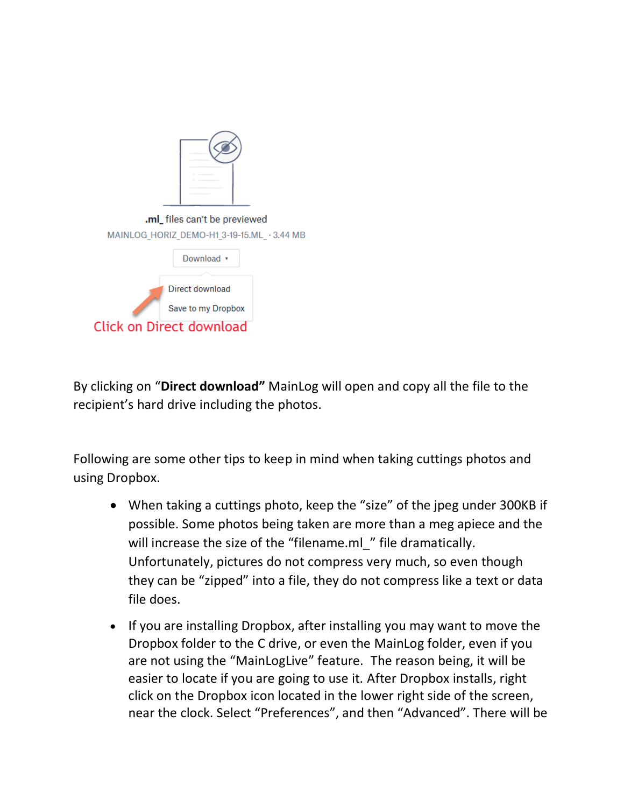| .ml_ files can't be previewed              |                    |  |  |  |  |  |
|--------------------------------------------|--------------------|--|--|--|--|--|
| MAINLOG HORIZ DEMO-H1 3-19-15.ML · 3.44 MB |                    |  |  |  |  |  |
|                                            | Download v         |  |  |  |  |  |
| Direct download                            |                    |  |  |  |  |  |
|                                            | Save to my Dropbox |  |  |  |  |  |
| <b>Click on Direct download</b>            |                    |  |  |  |  |  |

By clicking on "**Direct download"** MainLog will open and copy all the file to the recipient's hard drive including the photos.

Following are some other tips to keep in mind when taking cuttings photos and using Dropbox.

- When taking a cuttings photo, keep the "size" of the jpeg under 300KB if possible. Some photos being taken are more than a meg apiece and the will increase the size of the "filename.ml" file dramatically. Unfortunately, pictures do not compress very much, so even though they can be "zipped" into a file, they do not compress like a text or data file does.
- If you are installing Dropbox, after installing you may want to move the Dropbox folder to the C drive, or even the MainLog folder, even if you are not using the "MainLogLive" feature. The reason being, it will be easier to locate if you are going to use it. After Dropbox installs, right click on the Dropbox icon located in the lower right side of the screen, near the clock. Select "Preferences", and then "Advanced". There will be